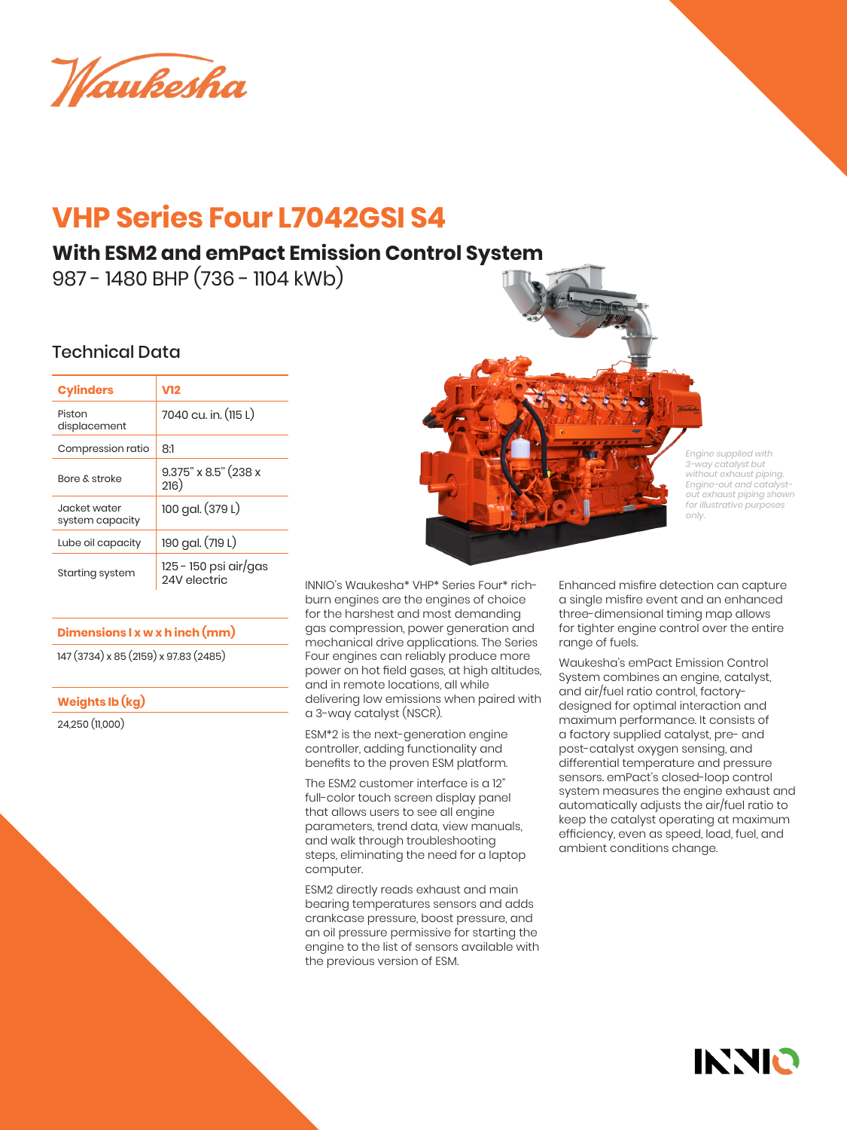Waukesha

# **VHP Series Four L7042GSI S4**

## **With ESM2 and emPact Emission Control System**

987 - 1480 BHP (736 - 1104 kWb)

### Technical Data

| <b>Cylinders</b>                 | V12                                   |  |
|----------------------------------|---------------------------------------|--|
| Piston<br>displacement           | 7040 cu. in. (115 L)                  |  |
| Compression ratio                | 8:1                                   |  |
| <b>Bore &amp; stroke</b>         | $9.375$ " x 8.5" (238 x<br>216)       |  |
| .lacket water<br>system capacity | 100 gal. (379 L)                      |  |
| Lube oil capacity                | 190 gal. (719 L)                      |  |
| Starting system                  | 125 - 150 psi air/gas<br>24V electric |  |

### **Dimensions l x w x h inch (mm)**

147 (3734) x 85 (2159) x 97.83 (2485)

### **Weights lb (kg)**

24,250 (11,000)



*Engine supplied with 3-way catalyst but without exhaust piping. Engine-out and catalystout exhaust piping shown for illustrative purposes only.*

INNIO

INNIO's Waukesha\* VHP\* Series Four\* richburn engines are the engines of choice for the harshest and most demanding gas compression, power generation and mechanical drive applications. The Series Four engines can reliably produce more power on hot field gases, at high altitudes, and in remote locations, all while delivering low emissions when paired with a 3-way catalyst (NSCR).

ESM\*2 is the next-generation engine controller, adding functionality and benefits to the proven ESM platform.

The ESM2 customer interface is a 12" full-color touch screen display panel that allows users to see all engine parameters, trend data, view manuals, and walk through troubleshooting steps, eliminating the need for a laptop computer.

ESM2 directly reads exhaust and main bearing temperatures sensors and adds crankcase pressure, boost pressure, and an oil pressure permissive for starting the engine to the list of sensors available with the previous version of ESM.

Enhanced misfire detection can capture a single misfire event and an enhanced three-dimensional timing map allows for tighter engine control over the entire range of fuels.

Waukesha's emPact Emission Control System combines an engine, catalyst, and air/fuel ratio control, factorydesigned for optimal interaction and maximum performance. It consists of a factory supplied catalyst, pre- and post-catalyst oxygen sensing, and differential temperature and pressure sensors. emPact's closed-loop control system measures the engine exhaust and automatically adjusts the air/fuel ratio to keep the catalyst operating at maximum efficiency, even as speed, load, fuel, and ambient conditions change.